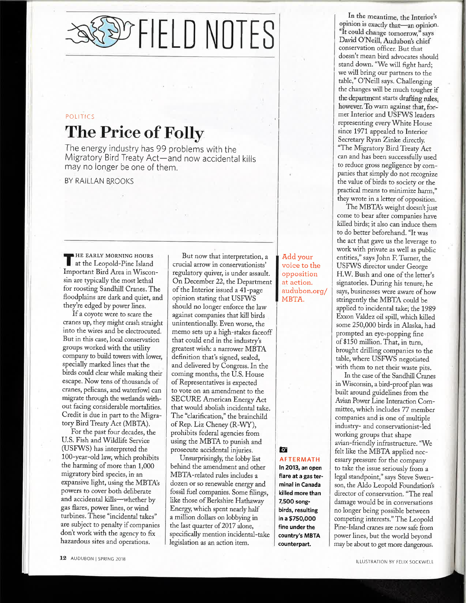OF FIELD NOTES

## **POLITICS** The Price of Folly

The energy industry has 99 problems with the Migratory Bird Treaty Act-and now accidental kills may no longer be one of them.

BY RAILLAN BROOKS

**HE EARLY MORNING HOURS** at the Leopold-Pine Island Important Bird Area in Wisconsin are typically the most lethal for roosting Sandhill Cranes. The floodplains are dark and quiet, and they're edged by power lines.

If a coyote were to scare the cranes up, they might crash straight into the wires and be electrocuted. But in this case, local conservation groups worked with the utility company to build towers with lower, specially marked lines that the birds could clear while making their escape. Now tens of thousands of cranes, pelicans, and waterfowl can migrate through the wetlands without facing considerable mortalities. Credit is due in part to the Migratory Bird Treaty Act (MBTA).

For the past four decades, the U.S. Fish and Wildlife Service (USFWS) has interpreted the 100-year-old law, which prohibits the harming of more than 1,000 migratory bird species, in an expansive light, using the MBTA's powers to cover both deliberate and accidental kills-whether by gas flares, power lines, or wind turbines. These "incidental takes" are subject to penalty if companies don't work with the agency to fix hazardous sites and operations.

But now that interpretation, a crucial arrow in conservationists' regulatory quiver, is under assault. On December 22, the Department of the Interior issued a 41-page opinion stating that USFWS should no longer enforce the law against companies that kill birds unintentionally. Even worse, the memo sets up a high-stakes faceoff that could end in the industry's greatest wish: a narrower MBTA definition that's signed, sealed, and delivered by Congress. In the coming months, the U.S. House of Representatives is expected to vote on an amendment to the **SECURE American Energy Act** that would abolish incidental take. The "clarification," the brainchild of Rep. Liz Cheney (R-WY), prohibits federal agencies from using the MBTA to punish and prosecute accidental injuries.

Unsurprisingly, the lobby list behind the amendment and other MBTA-related rules includes a dozen or so renewable energy and fossil fuel companies. Some filings, like those of Berkshire Hathaway Energy, which spent nearly half a million dollars on lobbying in the last quarter of 2017 alone, specifically mention incidental-take legislation as an action item.

Add your voice to the opposition at action. audubon.org/ MBTA.

In the meantime, the Interior's opinion is exactly that—an opinion. "It could change tomorrow," says David O'Neill, Audubon's chief conservation officer. But that doesn't mean bird advocates should stand down. "We will fight hard; we will bring our partners to the table," O'Neill says. Challenging the changes will be much tougher if the department starts drafting rules, however. To warn against that, former Interior and USFWS leaders representing every White House since 1971 appealed to Interior Secretary Ryan Zinke directly. "The Migratory Bird Treaty Act can and has been successfully used to reduce gross negligence by companies that simply do not recognize the value of birds to society or the

they wrote in a letter of opposition. The MBTA's weight doesn't just come to bear after companies have killed birds; it also can induce them to do better beforehand. "It was the act that gave us the leverage to work with private as well as public entities," says John F. Turner, the USFWS director under George H.W. Bush and one of the letter's signatories. During his tenure, he says, businesses were aware of how stringently the MBTA could be applied to incidental take; the 1989 Exxon Valdez oil spill, which killed some 250,000 birds in Alaska, had prompted an eye-popping fine of \$150 million. That, in turn, brought drilling companies to the table, where USFWS negotiated with them to net their waste pits.

practical means to minimize harm,"

In the case of the Sandhill Cranes in Wisconsin, a bird-proof plan was built around guidelines from the Avian Power Line Interaction Committee, which includes 77 member companies and is one of multiple industry- and conservationist-led working groups that shape avian-friendly infrastructure. "We felt like the MBTA applied necessary pressure for the company to take the issue seriously from a legal standpoint," says Steve Swenson, the Aldo Leopold Foundation's director of conservation. "The real damage would be in conversations no longer being possible between competing interests." The Leopold Pine-Island cranes are now safe from power lines, but the world beyond may be about to get more dangerous.

## $\bullet$

AFTERMATH In 2013, an open flare at a gas terminal in Canada killed more than 7,500 songbirds, resulting in a \$750,000 fine under the country's MBTA counterpart.